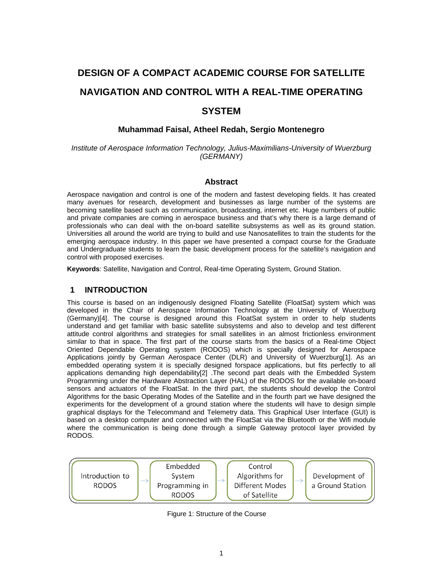# **DESIGN OF A COMPACT ACADEMIC COURSE FOR SATELLITE NAVIGATION AND CONTROL WITH A REAL-TIME OPERATING SYSTEM**

#### **Muhammad Faisal, Atheel Redah, Sergio Montenegro**

*Institute of Aerospace Information Technology, Julius-Maximilians-University of Wuerzburg (GERMANY)* 

#### **Abstract**

Aerospace navigation and control is one of the modern and fastest developing fields. It has created many avenues for research, development and businesses as large number of the systems are becoming satellite based such as communication, broadcasting, internet etc. Huge numbers of public and private companies are coming in aerospace business and that's why there is a large demand of professionals who can deal with the on-board satellite subsystems as well as its ground station. Universities all around the world are trying to build and use Nanosatellites to train the students for the emerging aerospace industry. In this paper we have presented a compact course for the Graduate and Undergraduate students to learn the basic development process for the satellite's navigation and control with proposed exercises.

**Keywords**: Satellite, Navigation and Control, Real-time Operating System, Ground Station.

#### **1 INTRODUCTION**

This course is based on an indigenously designed Floating Satellite (FloatSat) system which was developed in the Chair of Aerospace Information Technology at the University of Wuerzburg (Germany)[4]. The course is designed around this FloatSat system in order to help students understand and get familiar with basic satellite subsystems and also to develop and test different attitude control algorithms and strategies for small satellites in an almost frictionless environment similar to that in space. The first part of the course starts from the basics of a Real-time Object Oriented Dependable Operating system (RODOS) which is specially designed for Aerospace Applications jointly by German Aerospace Center (DLR) and University of Wuerzburg[1]. As an embedded operating system it is specially designed forspace applications, but fits perfectly to all applications demanding high dependability[2] .The second part deals with the Embedded System Programming under the Hardware Abstraction Layer (HAL) of the RODOS for the available on-board sensors and actuators of the FloatSat. In the third part, the students should develop the Control Algorithms for the basic Operating Modes of the Satellite and in the fourth part we have designed the experiments for the development of a ground station where the students will have to design simple graphical displays for the Telecommand and Telemetry data. This Graphical User Interface (GUI) is based on a desktop computer and connected with the FloatSat via the Bluetooth or the Wifi module where the communication is being done through a simple Gateway protocol layer provided by RODOS.



Figure 1: Structure of the Course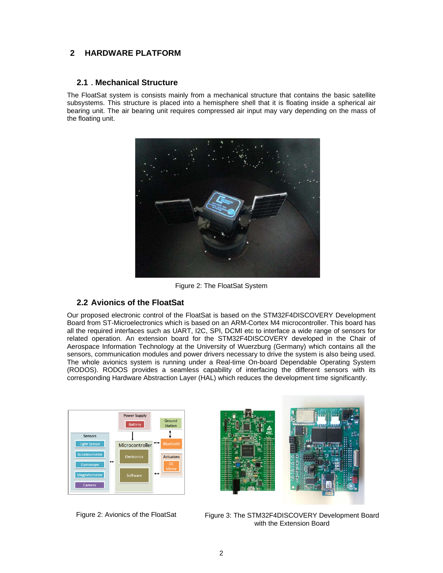# **2 HARDWARE PLATFORM**

#### **2.1 . Mechanical Structure**

The FloatSat system is consists mainly from a mechanical structure that contains the basic satellite subsystems. This structure is placed into a hemisphere shell that it is floating inside a spherical air bearing unit. The air bearing unit requires compressed air input may vary depending on the mass of the floating unit.



Figure 2: The FloatSat System

### **2.2 Avionics of the FloatSat**

Our proposed electronic control of the FloatSat is based on the STM32F4DISCOVERY Development Board from ST-Microelectronics which is based on an ARM-Cortex M4 microcontroller. This board has all the required interfaces such as UART, I2C, SPI, DCMI etc to interface a wide range of sensors for related operation. An extension board for the STM32F4DISCOVERY developed in the Chair of Aerospace Information Technology at the University of Wuerzburg (Germany) which contains all the sensors, communication modules and power drivers necessary to drive the system is also being used. The whole avionics system is running under a Real-time On-board Dependable Operating System (RODOS). RODOS provides a seamless capability of interfacing the different sensors with its corresponding Hardware Abstraction Layer (HAL) which reduces the development time significantly.



Figure 2: Avionics of the FloatSat



Figure 3: The STM32F4DISCOVERY Development Board with the Extension Board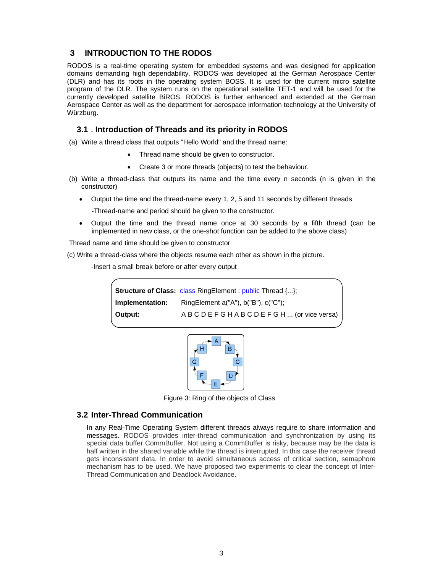# **3 INTRODUCTION TO THE RODOS**

RODOS is a real-time operating system for embedded systems and was designed for application domains demanding high dependability. RODOS was developed at the German Aerospace Center (DLR) and has its roots in the operating system BOSS. It is used for the current micro satellite program of the DLR. The system runs on the operational satellite TET-1 and will be used for the currently developed satellite BiROS. RODOS is further enhanced and extended at the German Aerospace Center as well as the department for aerospace information technology at the University of Würzburg.

### **3.1 . Introduction of Threads and its priority in RODOS**

(a) Write a thread class that outputs "Hello World" and the thread name:

- Thread name should be given to constructor.
- Create 3 or more threads (objects) to test the behaviour.
- (b) Write a thread-class that outputs its name and the time every n seconds (n is given in the constructor)
	- Output the time and the thread-name every 1, 2, 5 and 11 seconds by different threads

-Thread-name and period should be given to the constructor.

 Output the time and the thread name once at 30 seconds by a fifth thread (can be implemented in new class, or the one-shot function can be added to the above class)

Thread name and time should be given to constructor

(c) Write a thread-class where the objects resume each other as shown in the picture.

-Insert a small break before or after every output

|                 | <b>Structure of Class: class RingElement: public Thread {};</b> |
|-----------------|-----------------------------------------------------------------|
| Implementation: | Ring Element $a("A")$ , $b("B")$ , $c("C")$ ;                   |
| Output:         | ABCDEFGHABCDEFGH (or vice versa)                                |



Figure 3: Ring of the objects of Class

#### **3.2 Inter-Thread Communication**

In any Real-Time Operating System different threads always require to share information and messages. RODOS provides inter-thread communication and synchronization by using its special data buffer CommBuffer. Not using a CommBuffer is risky, because may be the data is half written in the shared variable while the thread is interrupted. In this case the receiver thread gets inconsistent data. In order to avoid simultaneous access of critical section, semaphore mechanism has to be used. We have proposed two experiments to clear the concept of Inter-Thread Communication and Deadlock Avoidance.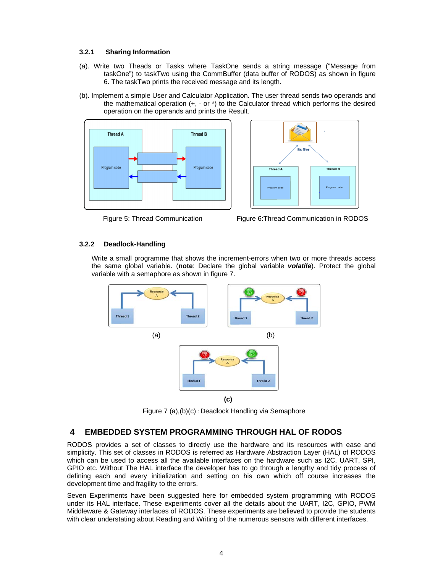#### **3.2.1 Sharing Information**

- (a). Write two Theads or Tasks where TaskOne sends a string message ("Message from taskOne") to taskTwo using the CommBuffer (data buffer of RODOS) as shown in figure 6. The taskTwo prints the received message and its length.
- (b). Implement a simple User and Calculator Application. The user thread sends two operands and the mathematical operation (+, - or \*) to the Calculator thread which performs the desired operation on the operands and prints the Result.





**Figure 5: Thread Communication Figure 6: Thread Communication in RODOS** 

#### **3.2.2 Deadlock-Handling**

Write a small programme that shows the increment-errors when two or more threads access the same global variable. (**note**: Declare the global variable *volatile*). Protect the global variable with a semaphore as shown in figure 7.



Figure 7 (a),(b)(c) : Deadlock Handling via Semaphore

# **4 EMBEDDED SYSTEM PROGRAMMING THROUGH HAL OF RODOS**

RODOS provides a set of classes to directly use the hardware and its resources with ease and simplicity. This set of classes in RODOS is referred as Hardware Abstraction Layer (HAL) of RODOS which can be used to access all the available interfaces on the hardware such as I2C, UART, SPI, GPIO etc. Without The HAL interface the developer has to go through a lengthy and tidy process of defining each and every initialization and setting on his own which off course increases the development time and fragility to the errors.

Seven Experiments have been suggested here for embedded system programming with RODOS under its HAL interface. These experiments cover all the details about the UART, I2C, GPIO, PWM Middleware & Gateway interfaces of RODOS. These experiments are believed to provide the students with clear understating about Reading and Writing of the numerous sensors with different interfaces.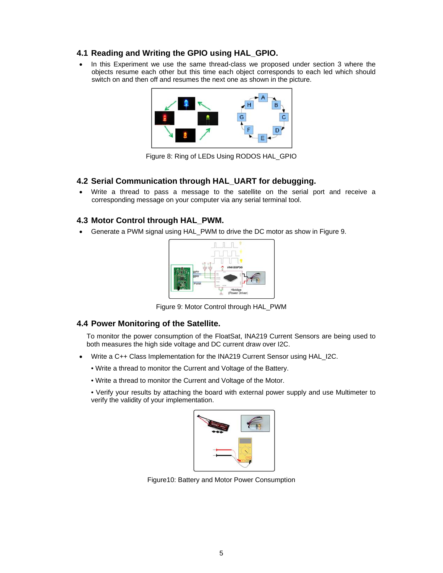# **4.1 Reading and Writing the GPIO using HAL\_GPIO.**

• In this Experiment we use the same thread-class we proposed under section 3 where the objects resume each other but this time each object corresponds to each led which should switch on and then off and resumes the next one as shown in the picture.



Figure 8: Ring of LEDs Using RODOS HAL\_GPIO

#### **4.2 Serial Communication through HAL\_UART for debugging.**

 Write a thread to pass a message to the satellite on the serial port and receive a corresponding message on your computer via any serial terminal tool.

# **4.3 Motor Control through HAL\_PWM.**

Generate a PWM signal using HAL\_PWM to drive the DC motor as show in Figure 9.



Figure 9: Motor Control through HAL\_PWM

#### **4.4 Power Monitoring of the Satellite.**

To monitor the power consumption of the FloatSat, INA219 Current Sensors are being used to both measures the high side voltage and DC current draw over I2C.

- Write a C++ Class Implementation for the INA219 Current Sensor using HAL\_I2C.
	- Write a thread to monitor the Current and Voltage of the Battery.
	- Write a thread to monitor the Current and Voltage of the Motor.
	- Verify your results by attaching the board with external power supply and use Multimeter to verify the validity of your implementation.



Figure10: Battery and Motor Power Consumption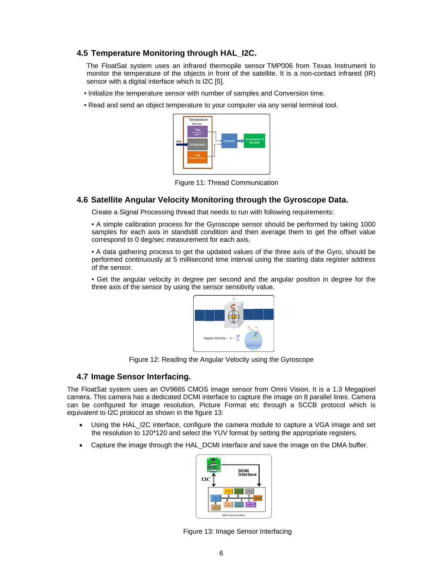# **4.5 Temperature Monitoring through HAL\_I2C.**

The FloatSat system uses an infrared thermopile sensor TMP006 from Texas Instrument to monitor the temperature of the objects in front of the satellite. It is a non-contact infrared (IR) sensor with a digital interface which is I2C [5].

- Initialize the temperature sensor with number of samples and Conversion time.
- Read and send an object temperature to your computer via any serial terminal tool.



Figure 11: Thread Communication

#### **4.6 Satellite Angular Velocity Monitoring through the Gyroscope Data.**

Create a Signal Processing thread that needs to run with following requirements:

• A simple calibration process for the Gyroscope sensor should be performed by taking 1000 samples for each axis in standstill condition and then average them to get the offset value correspond to 0 deg/sec measurement for each axis.

• A data gathering process to get the updated values of the three axis of the Gyro, should be performed continuously at 5 millisecond time interval using the starting data register address of the sensor.

• Get the angular velocity in degree per second and the angular position in degree for the three axis of the sensor by using the sensor sensitivity value.



Figure 12: Reading the Angular Velocity using the Gyroscope

#### **4.7 Image Sensor Interfacing.**

The FloatSat system uses an OV9665 CMOS image sensor from Omni Vision. It is a 1.3 Megapixel camera. This camera has a dedicated DCMI interface to capture the image on 8 parallel lines. Camera can be configured for image resolution, Picture Format etc through a SCCB protocol which is equivalent to I2C protocol as shown in the figure 13:

- Using the HAL\_I2C interface, configure the camera module to capture a VGA image and set the resolution to 120\*120 and select the YUV format by setting the appropriate registers.
- Capture the image through the HAL\_DCMI interface and save the image on the DMA buffer.



Figure 13: Image Sensor Interfacing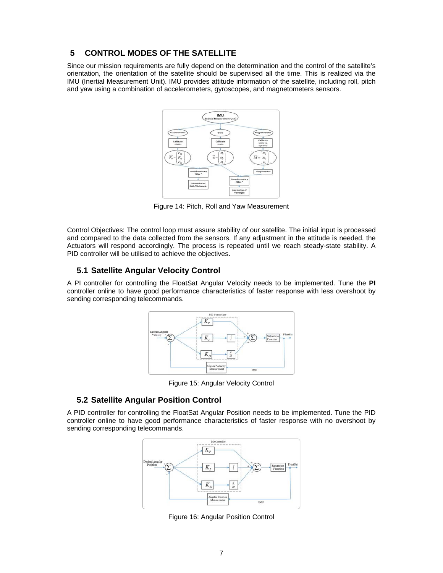# **5 CONTROL MODES OF THE SATELLITE**

Since our mission requirements are fully depend on the determination and the control of the satellite's orientation, the orientation of the satellite should be supervised all the time. This is realized via the IMU (Inertial Measurement Unit). IMU provides attitude information of the satellite, including roll, pitch and yaw using a combination of accelerometers, gyroscopes, and magnetometers sensors.



Figure 14: Pitch, Roll and Yaw Measurement

Control Objectives: The control loop must assure stability of our satellite. The initial input is processed and compared to the data collected from the sensors. If any adjustment in the attitude is needed, the Actuators will respond accordingly. The process is repeated until we reach steady-state stability. A PID controller will be utilised to achieve the objectives.

# **5.1 Satellite Angular Velocity Control**

A PI controller for controlling the FloatSat Angular Velocity needs to be implemented. Tune the **PI**  controller online to have good performance characteristics of faster response with less overshoot by sending corresponding telecommands.



Figure 15: Angular Velocity Control

#### **5.2 Satellite Angular Position Control**

A PID controller for controlling the FloatSat Angular Position needs to be implemented. Tune the PID controller online to have good performance characteristics of faster response with no overshoot by sending corresponding telecommands.



Figure 16: Angular Position Control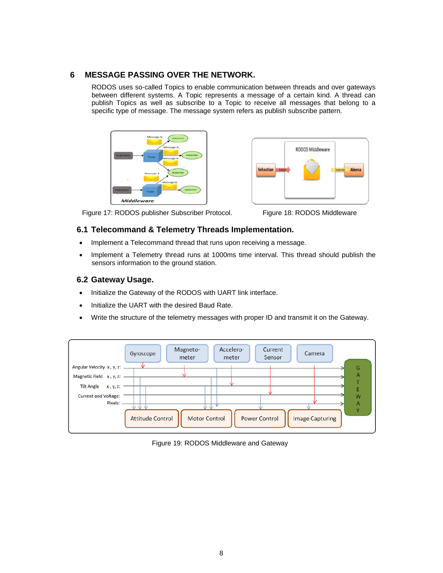# **6 MESSAGE PASSING OVER THE NETWORK.**

RODOS uses so-called Topics to enable communication between threads and over gateways between different systems. A Topic represents a message of a certain kind. A thread can publish Topics as well as subscribe to a Topic to receive all messages that belong to a specific type of message. The message system refers as publish subscribe pattern.





Figure 17: RODOS publisher Subscriber Protocol. Figure 18: RODOS Middleware

#### **6.1 Telecommand & Telemetry Threads Implementation.**

- Implement a Telecommand thread that runs upon receiving a message.
- Implement a Telemetry thread runs at 1000ms time interval. This thread should publish the sensors information to the ground station.

# **6.2 Gateway Usage.**

- Initialize the Gateway of the RODOS with UART link interface.
- Initialize the UART with the desired Baud Rate.
- Write the structure of the telemetry messages with proper ID and transmit it on the Gateway.



Figure 19: RODOS Middleware and Gateway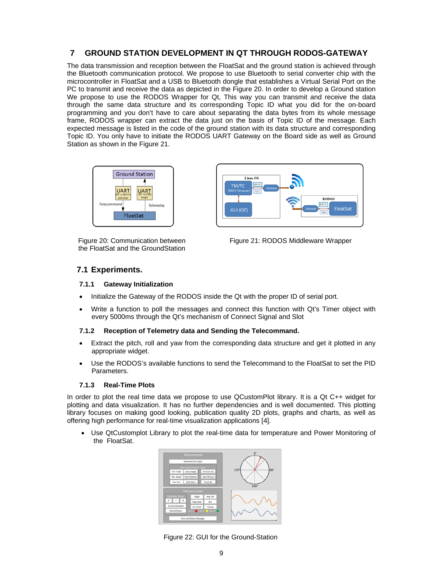# **7 GROUND STATION DEVELOPMENT IN QT THROUGH RODOS-GATEWAY**

The data transmission and reception between the FloatSat and the ground station is achieved through the Bluetooth communication protocol. We propose to use Bluetooth to serial converter chip with the microcontroller in FloatSat and a USB to Bluetooth dongle that establishes a Virtual Serial Port on the PC to transmit and receive the data as depicted in the Figure 20. In order to develop a Ground station We propose to use the RODOS Wrapper for Qt, This way you can transmit and receive the data through the same data structure and its corresponding Topic ID what you did for the on-board programming and you don't have to care about separating the data bytes from its whole message frame, RODOS wrapper can extract the data just on the basis of Topic ID of the message. Each expected message is listed in the code of the ground station with its data structure and corresponding Topic ID. You only have to initiate the RODOS UART Gateway on the Board side as well as Ground Station as shown in the Figure 21.



Figure 20: Communication between the FloatSat and the GroundStation



Figure 21: RODOS Middleware Wrapper

#### **7.1 Experiments.**

#### **7.1.1 Gateway Initialization**

- Initialize the Gateway of the RODOS inside the Qt with the proper ID of serial port.
- Write a function to poll the messages and connect this function with Qt's Timer object with every 5000ms through the Qt's mechanism of Connect Signal and Slot

#### **7.1.2 Reception of Telemetry data and Sending the Telecommand.**

- Extract the pitch, roll and yaw from the corresponding data structure and get it plotted in any appropriate widget.
- Use the RODOS's available functions to send the Telecommand to the FloatSat to set the PID Parameters.

#### **7.1.3 Real-Time Plots**

In order to plot the real time data we propose to use QCustomPlot library. It is a Qt C++ widget for plotting and data visualization. It has no further dependencies and is well documented. This plotting library focuses on making good looking, publication quality 2D plots, graphs and charts, as well as offering high performance for real-time visualization applications [4].

 Use QtCustomplot Library to plot the real-time data for temperature and Power Monitoring of the FloatSat.



Figure 22: GUI for the Ground-Station